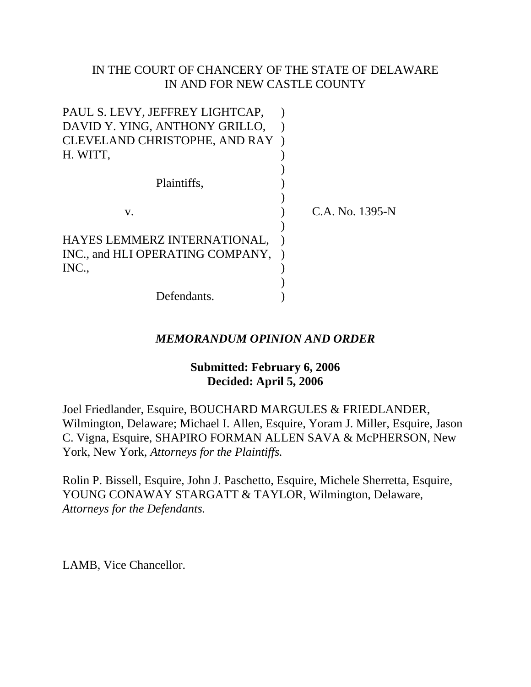# IN THE COURT OF CHANCERY OF THE STATE OF DELAWARE IN AND FOR NEW CASTLE COUNTY

| CLEVELAND CHRISTOPHE, AND RAY |
|-------------------------------|
|                               |
|                               |
|                               |
|                               |
| C.A. No. 1395-N               |
|                               |
|                               |
|                               |
|                               |
|                               |
|                               |
|                               |

# *MEMORANDUM OPINION AND ORDER*

# **Submitted: February 6, 2006 Decided: April 5, 2006**

Joel Friedlander, Esquire, BOUCHARD MARGULES & FRIEDLANDER, Wilmington, Delaware; Michael I. Allen, Esquire, Yoram J. Miller, Esquire, Jason C. Vigna, Esquire, SHAPIRO FORMAN ALLEN SAVA & McPHERSON, New York, New York, *Attorneys for the Plaintiffs.*

Rolin P. Bissell, Esquire, John J. Paschetto, Esquire, Michele Sherretta, Esquire, YOUNG CONAWAY STARGATT & TAYLOR, Wilmington, Delaware, *Attorneys for the Defendants.*

LAMB, Vice Chancellor.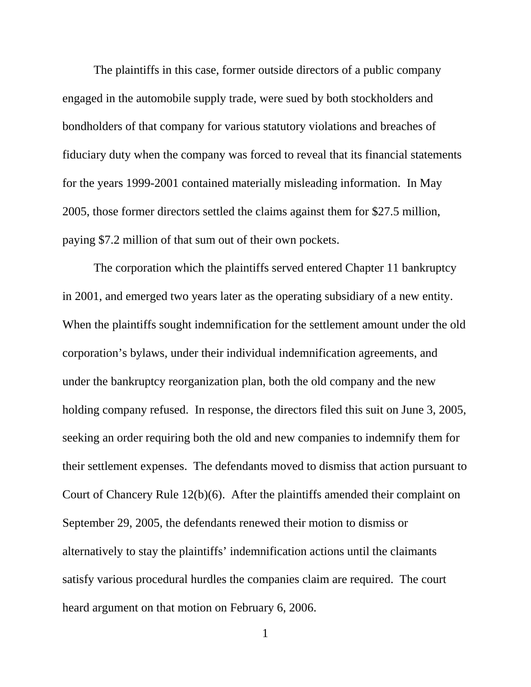The plaintiffs in this case, former outside directors of a public company engaged in the automobile supply trade, were sued by both stockholders and bondholders of that company for various statutory violations and breaches of fiduciary duty when the company was forced to reveal that its financial statements for the years 1999-2001 contained materially misleading information. In May 2005, those former directors settled the claims against them for \$27.5 million, paying \$7.2 million of that sum out of their own pockets.

The corporation which the plaintiffs served entered Chapter 11 bankruptcy in 2001, and emerged two years later as the operating subsidiary of a new entity. When the plaintiffs sought indemnification for the settlement amount under the old corporation's bylaws, under their individual indemnification agreements, and under the bankruptcy reorganization plan, both the old company and the new holding company refused. In response, the directors filed this suit on June 3, 2005, seeking an order requiring both the old and new companies to indemnify them for their settlement expenses. The defendants moved to dismiss that action pursuant to Court of Chancery Rule 12(b)(6). After the plaintiffs amended their complaint on September 29, 2005, the defendants renewed their motion to dismiss or alternatively to stay the plaintiffs' indemnification actions until the claimants satisfy various procedural hurdles the companies claim are required. The court heard argument on that motion on February 6, 2006.

1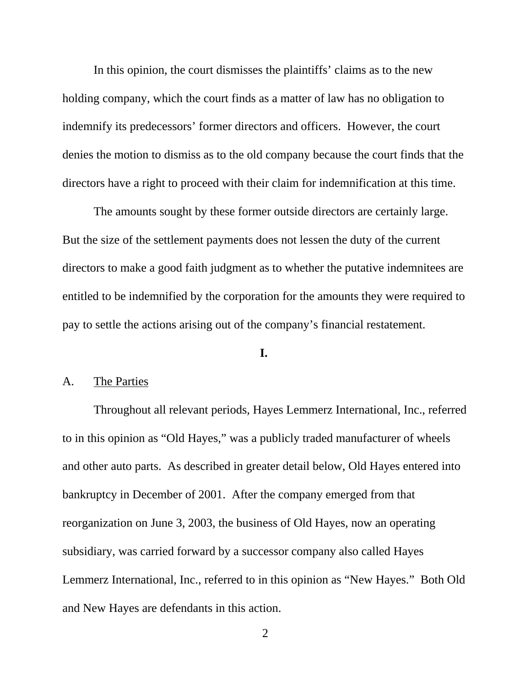In this opinion, the court dismisses the plaintiffs' claims as to the new holding company, which the court finds as a matter of law has no obligation to indemnify its predecessors' former directors and officers. However, the court denies the motion to dismiss as to the old company because the court finds that the directors have a right to proceed with their claim for indemnification at this time.

The amounts sought by these former outside directors are certainly large. But the size of the settlement payments does not lessen the duty of the current directors to make a good faith judgment as to whether the putative indemnitees are entitled to be indemnified by the corporation for the amounts they were required to pay to settle the actions arising out of the company's financial restatement.

#### **I.**

### A. The Parties

Throughout all relevant periods, Hayes Lemmerz International, Inc., referred to in this opinion as "Old Hayes," was a publicly traded manufacturer of wheels and other auto parts. As described in greater detail below, Old Hayes entered into bankruptcy in December of 2001. After the company emerged from that reorganization on June 3, 2003, the business of Old Hayes, now an operating subsidiary, was carried forward by a successor company also called Hayes Lemmerz International, Inc., referred to in this opinion as "New Hayes." Both Old and New Hayes are defendants in this action.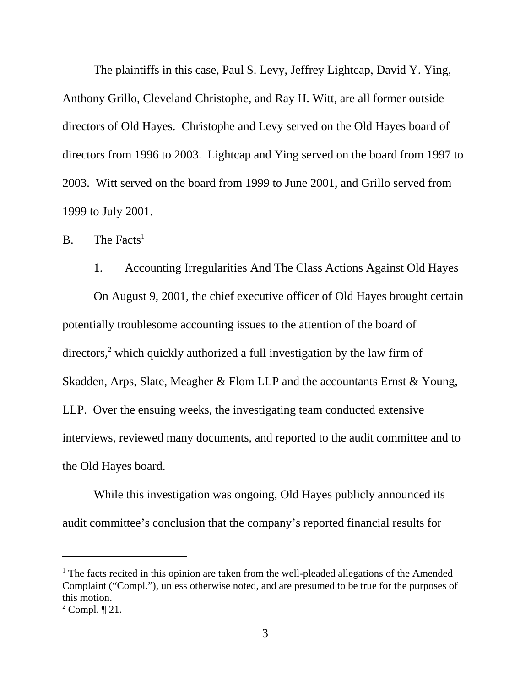The plaintiffs in this case, Paul S. Levy, Jeffrey Lightcap, David Y. Ying, Anthony Grillo, Cleveland Christophe, and Ray H. Witt, are all former outside directors of Old Hayes. Christophe and Levy served on the Old Hayes board of directors from 1996 to 2003. Lightcap and Ying served on the board from 1997 to 2003. Witt served on the board from 1999 to June 2001, and Grillo served from 1999 to July 2001.

# $B.$  The Facts<sup>1</sup>

### 1. Accounting Irregularities And The Class Actions Against Old Hayes

On August 9, 2001, the chief executive officer of Old Hayes brought certain potentially troublesome accounting issues to the attention of the board of directors,<sup>2</sup> which quickly authorized a full investigation by the law firm of Skadden, Arps, Slate, Meagher & Flom LLP and the accountants Ernst & Young, LLP. Over the ensuing weeks, the investigating team conducted extensive interviews, reviewed many documents, and reported to the audit committee and to the Old Hayes board.

While this investigation was ongoing, Old Hayes publicly announced its audit committee's conclusion that the company's reported financial results for

<sup>&</sup>lt;sup>1</sup> The facts recited in this opinion are taken from the well-pleaded allegations of the Amended Complaint ("Compl."), unless otherwise noted, and are presumed to be true for the purposes of this motion.

 $2^2$  Compl.  $\P$  21.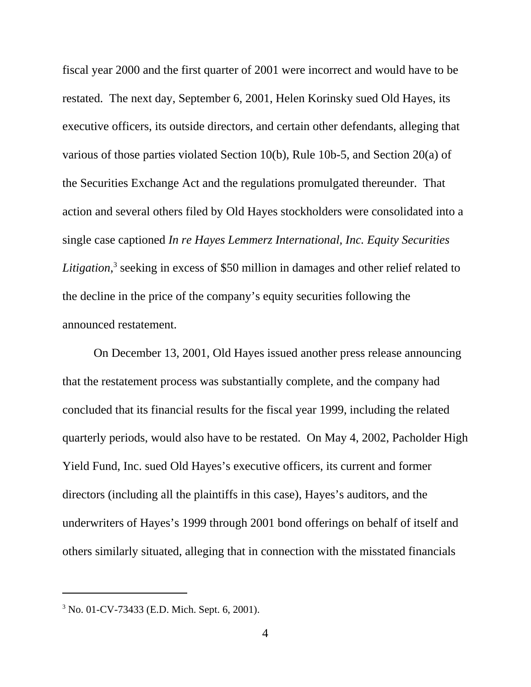fiscal year 2000 and the first quarter of 2001 were incorrect and would have to be restated. The next day, September 6, 2001, Helen Korinsky sued Old Hayes, its executive officers, its outside directors, and certain other defendants, alleging that various of those parties violated Section 10(b), Rule 10b-5, and Section 20(a) of the Securities Exchange Act and the regulations promulgated thereunder. That action and several others filed by Old Hayes stockholders were consolidated into a single case captioned *In re Hayes Lemmerz International, Inc. Equity Securities Litigation*, <sup>3</sup> seeking in excess of \$50 million in damages and other relief related to the decline in the price of the company's equity securities following the announced restatement.

On December 13, 2001, Old Hayes issued another press release announcing that the restatement process was substantially complete, and the company had concluded that its financial results for the fiscal year 1999, including the related quarterly periods, would also have to be restated. On May 4, 2002, Pacholder High Yield Fund, Inc. sued Old Hayes's executive officers, its current and former directors (including all the plaintiffs in this case), Hayes's auditors, and the underwriters of Hayes's 1999 through 2001 bond offerings on behalf of itself and others similarly situated, alleging that in connection with the misstated financials

<sup>3</sup> No. 01-CV-73433 (E.D. Mich. Sept. 6, 2001).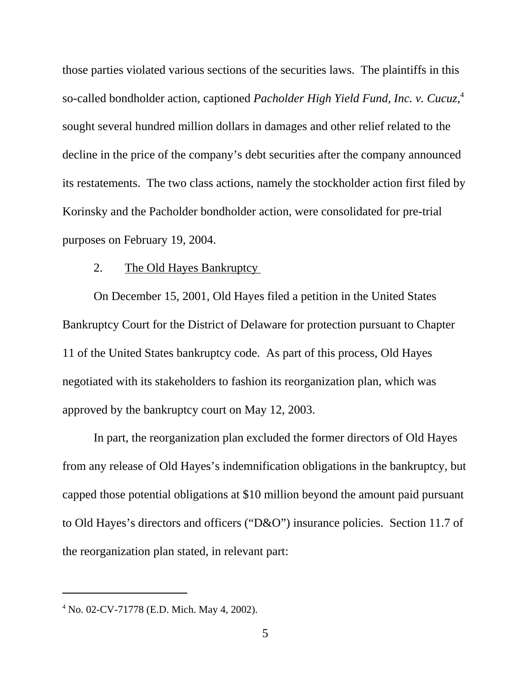those parties violated various sections of the securities laws. The plaintiffs in this so-called bondholder action, captioned *Pacholder High Yield Fund, Inc. v. Cucuz*, 4 sought several hundred million dollars in damages and other relief related to the decline in the price of the company's debt securities after the company announced its restatements. The two class actions, namely the stockholder action first filed by Korinsky and the Pacholder bondholder action, were consolidated for pre-trial purposes on February 19, 2004.

#### 2. The Old Hayes Bankruptcy

On December 15, 2001, Old Hayes filed a petition in the United States Bankruptcy Court for the District of Delaware for protection pursuant to Chapter 11 of the United States bankruptcy code. As part of this process, Old Hayes negotiated with its stakeholders to fashion its reorganization plan, which was approved by the bankruptcy court on May 12, 2003.

In part, the reorganization plan excluded the former directors of Old Hayes from any release of Old Hayes's indemnification obligations in the bankruptcy, but capped those potential obligations at \$10 million beyond the amount paid pursuant to Old Hayes's directors and officers ("D&O") insurance policies. Section 11.7 of the reorganization plan stated, in relevant part:

<sup>4</sup> No. 02-CV-71778 (E.D. Mich. May 4, 2002).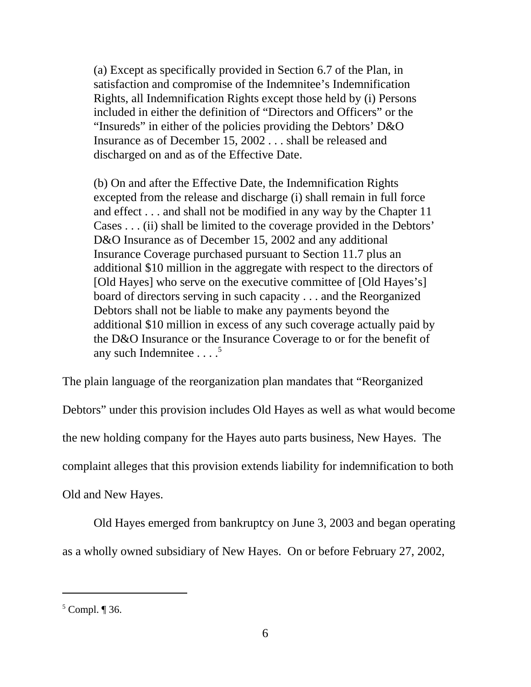(a) Except as specifically provided in Section 6.7 of the Plan, in satisfaction and compromise of the Indemnitee's Indemnification Rights, all Indemnification Rights except those held by (i) Persons included in either the definition of "Directors and Officers" or the "Insureds" in either of the policies providing the Debtors' D&O Insurance as of December 15, 2002 . . . shall be released and discharged on and as of the Effective Date.

(b) On and after the Effective Date, the Indemnification Rights excepted from the release and discharge (i) shall remain in full force and effect . . . and shall not be modified in any way by the Chapter 11 Cases . . . (ii) shall be limited to the coverage provided in the Debtors' D&O Insurance as of December 15, 2002 and any additional Insurance Coverage purchased pursuant to Section 11.7 plus an additional \$10 million in the aggregate with respect to the directors of [Old Hayes] who serve on the executive committee of [Old Hayes's] board of directors serving in such capacity . . . and the Reorganized Debtors shall not be liable to make any payments beyond the additional \$10 million in excess of any such coverage actually paid by the D&O Insurance or the Insurance Coverage to or for the benefit of any such Indemnitee  $\ldots$ <sup>5</sup>

The plain language of the reorganization plan mandates that "Reorganized Debtors" under this provision includes Old Hayes as well as what would become the new holding company for the Hayes auto parts business, New Hayes. The complaint alleges that this provision extends liability for indemnification to both Old and New Hayes.

Old Hayes emerged from bankruptcy on June 3, 2003 and began operating as a wholly owned subsidiary of New Hayes. On or before February 27, 2002,

 $<sup>5</sup>$  Compl.  $\P$  36.</sup>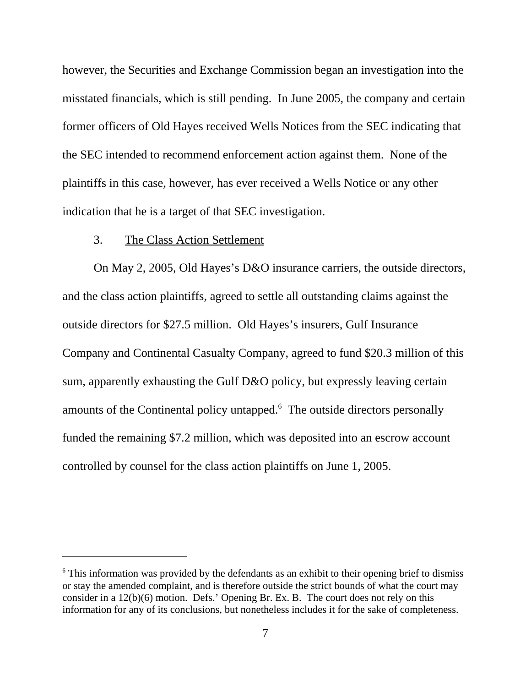however, the Securities and Exchange Commission began an investigation into the misstated financials, which is still pending. In June 2005, the company and certain former officers of Old Hayes received Wells Notices from the SEC indicating that the SEC intended to recommend enforcement action against them. None of the plaintiffs in this case, however, has ever received a Wells Notice or any other indication that he is a target of that SEC investigation.

### 3. The Class Action Settlement

On May 2, 2005, Old Hayes's D&O insurance carriers, the outside directors, and the class action plaintiffs, agreed to settle all outstanding claims against the outside directors for \$27.5 million. Old Hayes's insurers, Gulf Insurance Company and Continental Casualty Company, agreed to fund \$20.3 million of this sum, apparently exhausting the Gulf D&O policy, but expressly leaving certain amounts of the Continental policy untapped.<sup>6</sup> The outside directors personally funded the remaining \$7.2 million, which was deposited into an escrow account controlled by counsel for the class action plaintiffs on June 1, 2005.

<sup>&</sup>lt;sup>6</sup> This information was provided by the defendants as an exhibit to their opening brief to dismiss or stay the amended complaint, and is therefore outside the strict bounds of what the court may consider in a 12(b)(6) motion. Defs.' Opening Br. Ex. B. The court does not rely on this information for any of its conclusions, but nonetheless includes it for the sake of completeness.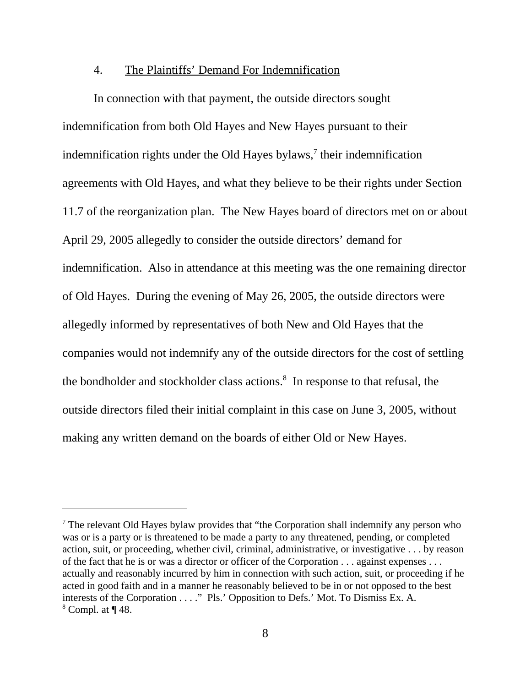### 4. The Plaintiffs' Demand For Indemnification

 In connection with that payment, the outside directors sought indemnification from both Old Hayes and New Hayes pursuant to their indemnification rights under the Old Hayes bylaws, $\frac{7}{1}$  their indemnification agreements with Old Hayes, and what they believe to be their rights under Section 11.7 of the reorganization plan. The New Hayes board of directors met on or about April 29, 2005 allegedly to consider the outside directors' demand for indemnification. Also in attendance at this meeting was the one remaining director of Old Hayes. During the evening of May 26, 2005, the outside directors were allegedly informed by representatives of both New and Old Hayes that the companies would not indemnify any of the outside directors for the cost of settling the bondholder and stockholder class actions.<sup>8</sup> In response to that refusal, the outside directors filed their initial complaint in this case on June 3, 2005, without making any written demand on the boards of either Old or New Hayes.

 $<sup>7</sup>$  The relevant Old Hayes bylaw provides that "the Corporation shall indemnify any person who</sup> was or is a party or is threatened to be made a party to any threatened, pending, or completed action, suit, or proceeding, whether civil, criminal, administrative, or investigative . . . by reason of the fact that he is or was a director or officer of the Corporation . . . against expenses . . . actually and reasonably incurred by him in connection with such action, suit, or proceeding if he acted in good faith and in a manner he reasonably believed to be in or not opposed to the best interests of the Corporation . . . ." Pls.' Opposition to Defs.' Mot. To Dismiss Ex. A. 8 Compl*.* at ¶ 48.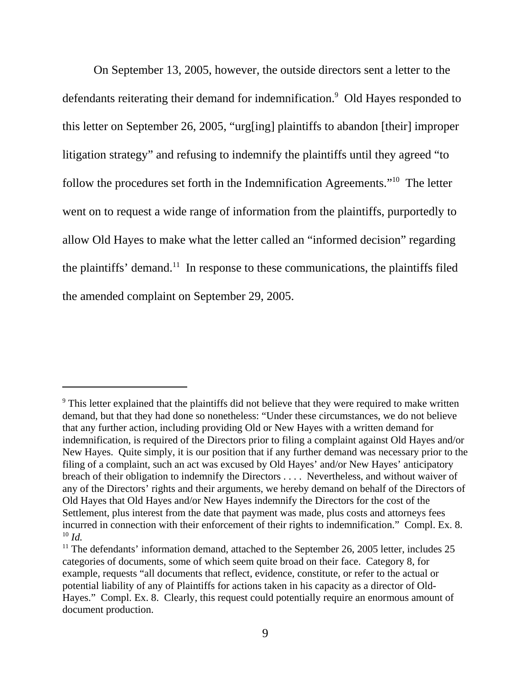On September 13, 2005, however, the outside directors sent a letter to the defendants reiterating their demand for indemnification.<sup>9</sup> Old Hayes responded to this letter on September 26, 2005, "urg[ing] plaintiffs to abandon [their] improper litigation strategy" and refusing to indemnify the plaintiffs until they agreed "to follow the procedures set forth in the Indemnification Agreements."10 The letter went on to request a wide range of information from the plaintiffs, purportedly to allow Old Hayes to make what the letter called an "informed decision" regarding the plaintiffs' demand.<sup>11</sup> In response to these communications, the plaintiffs filed the amended complaint on September 29, 2005.

<sup>&</sup>lt;sup>9</sup> This letter explained that the plaintiffs did not believe that they were required to make written demand, but that they had done so nonetheless: "Under these circumstances, we do not believe that any further action, including providing Old or New Hayes with a written demand for indemnification, is required of the Directors prior to filing a complaint against Old Hayes and/or New Hayes. Quite simply, it is our position that if any further demand was necessary prior to the filing of a complaint, such an act was excused by Old Hayes' and/or New Hayes' anticipatory breach of their obligation to indemnify the Directors . . . . Nevertheless, and without waiver of any of the Directors' rights and their arguments, we hereby demand on behalf of the Directors of Old Hayes that Old Hayes and/or New Hayes indemnify the Directors for the cost of the Settlement, plus interest from the date that payment was made, plus costs and attorneys fees incurred in connection with their enforcement of their rights to indemnification." Compl. Ex. 8.  $10 \, Id.$ 

 $11$  The defendants' information demand, attached to the September 26, 2005 letter, includes 25 categories of documents, some of which seem quite broad on their face. Category 8, for example, requests "all documents that reflect, evidence, constitute, or refer to the actual or potential liability of any of Plaintiffs for actions taken in his capacity as a director of Old-Hayes." Compl. Ex. 8. Clearly, this request could potentially require an enormous amount of document production.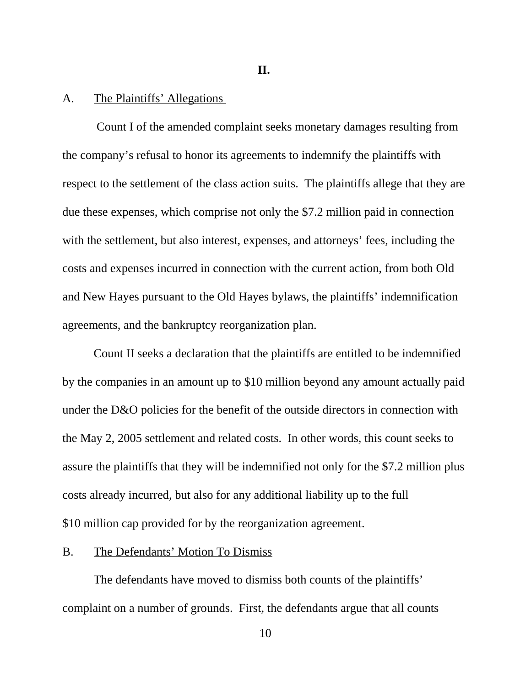**II.**

#### A. The Plaintiffs' Allegations

 Count I of the amended complaint seeks monetary damages resulting from the company's refusal to honor its agreements to indemnify the plaintiffs with respect to the settlement of the class action suits. The plaintiffs allege that they are due these expenses, which comprise not only the \$7.2 million paid in connection with the settlement, but also interest, expenses, and attorneys' fees, including the costs and expenses incurred in connection with the current action, from both Old and New Hayes pursuant to the Old Hayes bylaws, the plaintiffs' indemnification agreements, and the bankruptcy reorganization plan.

Count II seeks a declaration that the plaintiffs are entitled to be indemnified by the companies in an amount up to \$10 million beyond any amount actually paid under the D&O policies for the benefit of the outside directors in connection with the May 2, 2005 settlement and related costs. In other words, this count seeks to assure the plaintiffs that they will be indemnified not only for the \$7.2 million plus costs already incurred, but also for any additional liability up to the full \$10 million cap provided for by the reorganization agreement.

#### B. The Defendants' Motion To Dismiss

The defendants have moved to dismiss both counts of the plaintiffs' complaint on a number of grounds. First, the defendants argue that all counts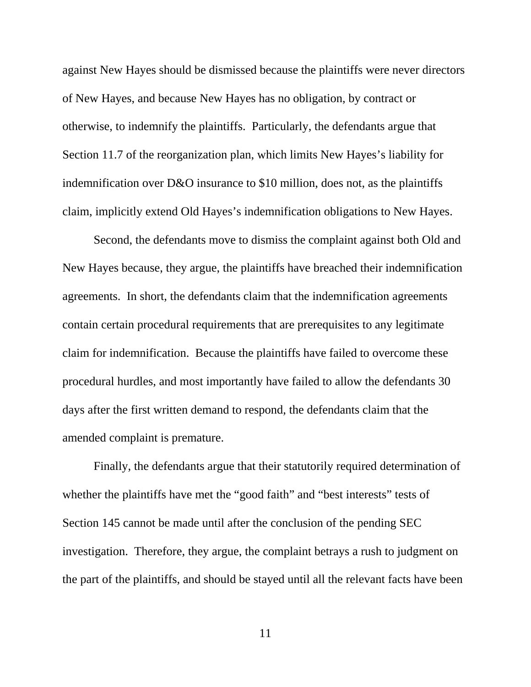against New Hayes should be dismissed because the plaintiffs were never directors of New Hayes, and because New Hayes has no obligation, by contract or otherwise, to indemnify the plaintiffs. Particularly, the defendants argue that Section 11.7 of the reorganization plan, which limits New Hayes's liability for indemnification over D&O insurance to \$10 million, does not, as the plaintiffs claim, implicitly extend Old Hayes's indemnification obligations to New Hayes.

Second, the defendants move to dismiss the complaint against both Old and New Hayes because, they argue, the plaintiffs have breached their indemnification agreements. In short, the defendants claim that the indemnification agreements contain certain procedural requirements that are prerequisites to any legitimate claim for indemnification. Because the plaintiffs have failed to overcome these procedural hurdles, and most importantly have failed to allow the defendants 30 days after the first written demand to respond, the defendants claim that the amended complaint is premature.

Finally, the defendants argue that their statutorily required determination of whether the plaintiffs have met the "good faith" and "best interests" tests of Section 145 cannot be made until after the conclusion of the pending SEC investigation. Therefore, they argue, the complaint betrays a rush to judgment on the part of the plaintiffs, and should be stayed until all the relevant facts have been

11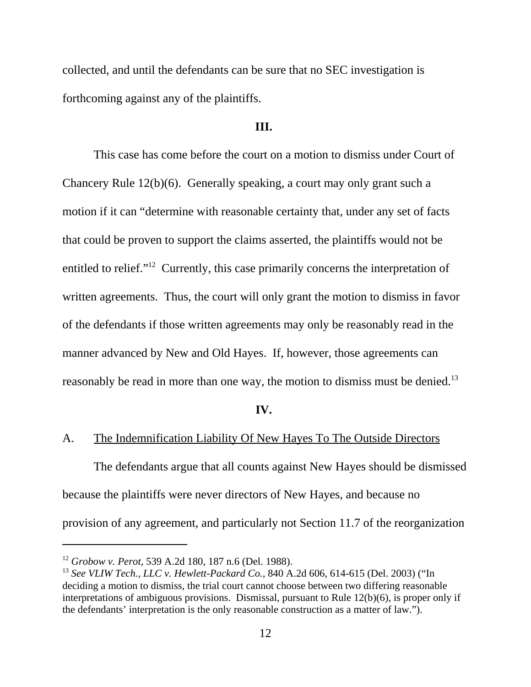collected, and until the defendants can be sure that no SEC investigation is forthcoming against any of the plaintiffs.

#### **III.**

This case has come before the court on a motion to dismiss under Court of Chancery Rule 12(b)(6). Generally speaking, a court may only grant such a motion if it can "determine with reasonable certainty that, under any set of facts that could be proven to support the claims asserted, the plaintiffs would not be entitled to relief."12 Currently, this case primarily concerns the interpretation of written agreements. Thus, the court will only grant the motion to dismiss in favor of the defendants if those written agreements may only be reasonably read in the manner advanced by New and Old Hayes. If, however, those agreements can reasonably be read in more than one way, the motion to dismiss must be denied.<sup>13</sup>

#### **IV.**

# A. The Indemnification Liability Of New Hayes To The Outside Directors

The defendants argue that all counts against New Hayes should be dismissed because the plaintiffs were never directors of New Hayes, and because no provision of any agreement, and particularly not Section 11.7 of the reorganization

<sup>12</sup> *Grobow v. Perot,* 539 A.2d 180, 187 n.6 (Del. 1988).

<sup>13</sup> *See VLIW Tech., LLC v. Hewlett-Packard Co.,* 840 A.2d 606, 614-615 (Del. 2003) ("In deciding a motion to dismiss, the trial court cannot choose between two differing reasonable interpretations of ambiguous provisions. Dismissal, pursuant to Rule 12(b)(6), is proper only if the defendants' interpretation is the only reasonable construction as a matter of law.").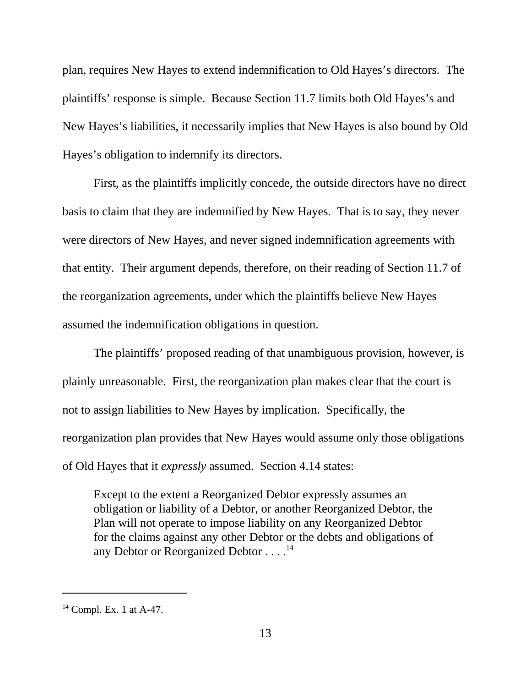plan, requires New Hayes to extend indemnification to Old Hayes's directors. The plaintiffs' response is simple. Because Section 11.7 limits both Old Hayes's and New Hayes's liabilities, it necessarily implies that New Hayes is also bound by Old Hayes's obligation to indemnify its directors.

First, as the plaintiffs implicitly concede, the outside directors have no direct basis to claim that they are indemnified by New Hayes. That is to say, they never were directors of New Hayes, and never signed indemnification agreements with that entity. Their argument depends, therefore, on their reading of Section 11.7 of the reorganization agreements, under which the plaintiffs believe New Hayes assumed the indemnification obligations in question.

The plaintiffs' proposed reading of that unambiguous provision, however, is plainly unreasonable. First, the reorganization plan makes clear that the court is not to assign liabilities to New Hayes by implication. Specifically, the reorganization plan provides that New Hayes would assume only those obligations of Old Hayes that it *expressly* assumed. Section 4.14 states:

Except to the extent a Reorganized Debtor expressly assumes an obligation or liability of a Debtor, or another Reorganized Debtor, the Plan will not operate to impose liability on any Reorganized Debtor for the claims against any other Debtor or the debts and obligations of any Debtor or Reorganized Debtor . . . .<sup>14</sup>

<sup>&</sup>lt;sup>14</sup> Compl. Ex. 1 at A-47.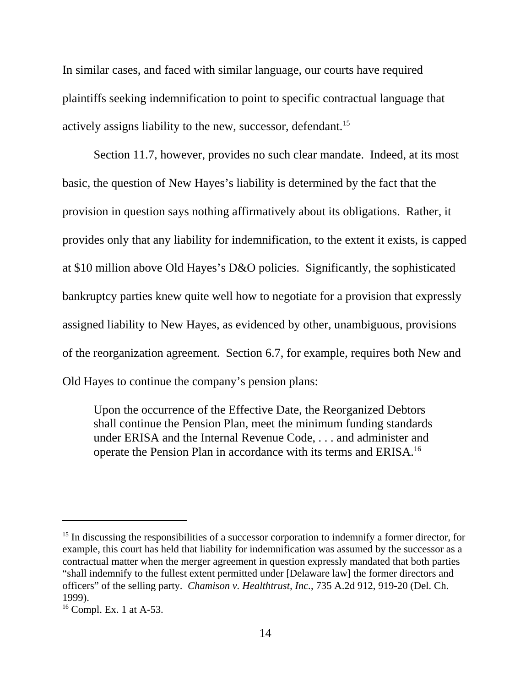In similar cases, and faced with similar language, our courts have required plaintiffs seeking indemnification to point to specific contractual language that actively assigns liability to the new, successor, defendant.<sup>15</sup>

Section 11.7, however, provides no such clear mandate. Indeed, at its most basic, the question of New Hayes's liability is determined by the fact that the provision in question says nothing affirmatively about its obligations. Rather, it provides only that any liability for indemnification, to the extent it exists, is capped at \$10 million above Old Hayes's D&O policies. Significantly, the sophisticated bankruptcy parties knew quite well how to negotiate for a provision that expressly assigned liability to New Hayes, as evidenced by other, unambiguous, provisions of the reorganization agreement. Section 6.7, for example, requires both New and Old Hayes to continue the company's pension plans:

Upon the occurrence of the Effective Date, the Reorganized Debtors shall continue the Pension Plan, meet the minimum funding standards under ERISA and the Internal Revenue Code, . . . and administer and operate the Pension Plan in accordance with its terms and ERISA.16

<sup>&</sup>lt;sup>15</sup> In discussing the responsibilities of a successor corporation to indemnify a former director, for example, this court has held that liability for indemnification was assumed by the successor as a contractual matter when the merger agreement in question expressly mandated that both parties "shall indemnify to the fullest extent permitted under [Delaware law] the former directors and officers" of the selling party. *Chamison v. Healthtrust, Inc.*, 735 A.2d 912, 919-20 (Del. Ch. 1999).

<sup>&</sup>lt;sup>16</sup> Compl. Ex. 1 at A-53.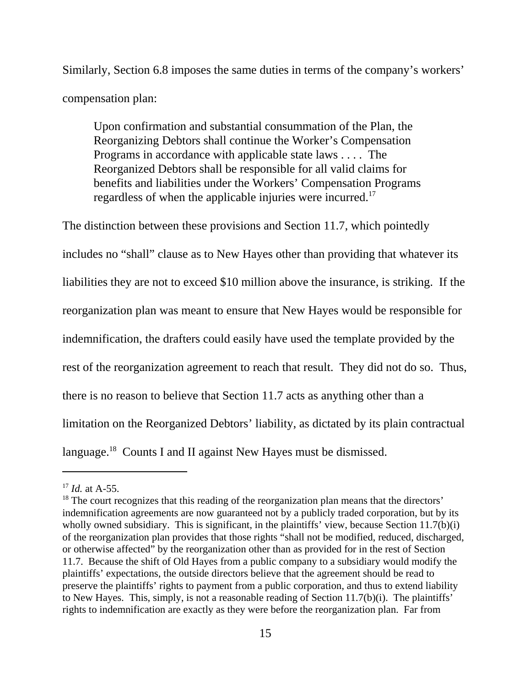Similarly, Section 6.8 imposes the same duties in terms of the company's workers' compensation plan:

Upon confirmation and substantial consummation of the Plan, the Reorganizing Debtors shall continue the Worker's Compensation Programs in accordance with applicable state laws . . . . The Reorganized Debtors shall be responsible for all valid claims for benefits and liabilities under the Workers' Compensation Programs regardless of when the applicable injuries were incurred.17

The distinction between these provisions and Section 11.7, which pointedly includes no "shall" clause as to New Hayes other than providing that whatever its liabilities they are not to exceed \$10 million above the insurance, is striking. If the reorganization plan was meant to ensure that New Hayes would be responsible for indemnification, the drafters could easily have used the template provided by the rest of the reorganization agreement to reach that result. They did not do so. Thus, there is no reason to believe that Section 11.7 acts as anything other than a limitation on the Reorganized Debtors' liability, as dictated by its plain contractual language.<sup>18</sup> Counts I and II against New Hayes must be dismissed.

<sup>17</sup> *Id.* at A-55.

<sup>&</sup>lt;sup>18</sup> The court recognizes that this reading of the reorganization plan means that the directors' indemnification agreements are now guaranteed not by a publicly traded corporation, but by its wholly owned subsidiary. This is significant, in the plaintiffs' view, because Section 11.7(b)(i) of the reorganization plan provides that those rights "shall not be modified, reduced, discharged, or otherwise affected" by the reorganization other than as provided for in the rest of Section 11.7. Because the shift of Old Hayes from a public company to a subsidiary would modify the plaintiffs' expectations, the outside directors believe that the agreement should be read to preserve the plaintiffs' rights to payment from a public corporation, and thus to extend liability to New Hayes. This, simply, is not a reasonable reading of Section 11.7(b)(i). The plaintiffs' rights to indemnification are exactly as they were before the reorganization plan. Far from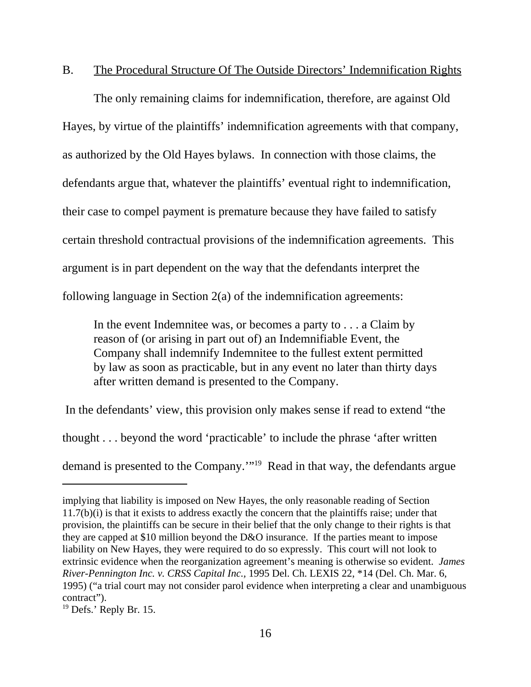# B. The Procedural Structure Of The Outside Directors' Indemnification Rights

The only remaining claims for indemnification, therefore, are against Old Hayes, by virtue of the plaintiffs' indemnification agreements with that company, as authorized by the Old Hayes bylaws. In connection with those claims, the defendants argue that, whatever the plaintiffs' eventual right to indemnification, their case to compel payment is premature because they have failed to satisfy certain threshold contractual provisions of the indemnification agreements. This argument is in part dependent on the way that the defendants interpret the following language in Section 2(a) of the indemnification agreements:

In the event Indemnitee was, or becomes a party to . . . a Claim by reason of (or arising in part out of) an Indemnifiable Event, the Company shall indemnify Indemnitee to the fullest extent permitted by law as soon as practicable, but in any event no later than thirty days after written demand is presented to the Company.

 In the defendants' view, this provision only makes sense if read to extend "the thought . . . beyond the word 'practicable' to include the phrase 'after written demand is presented to the Company.'"19 Read in that way, the defendants argue

implying that liability is imposed on New Hayes, the only reasonable reading of Section 11.7(b)(i) is that it exists to address exactly the concern that the plaintiffs raise; under that provision, the plaintiffs can be secure in their belief that the only change to their rights is that they are capped at \$10 million beyond the D&O insurance. If the parties meant to impose liability on New Hayes, they were required to do so expressly. This court will not look to extrinsic evidence when the reorganization agreement's meaning is otherwise so evident. *James River-Pennington Inc. v. CRSS Capital Inc.,* 1995 Del. Ch. LEXIS 22, \*14 (Del. Ch. Mar. 6, 1995) ("a trial court may not consider parol evidence when interpreting a clear and unambiguous contract").

<sup>&</sup>lt;sup>19</sup> Defs.' Reply Br. 15.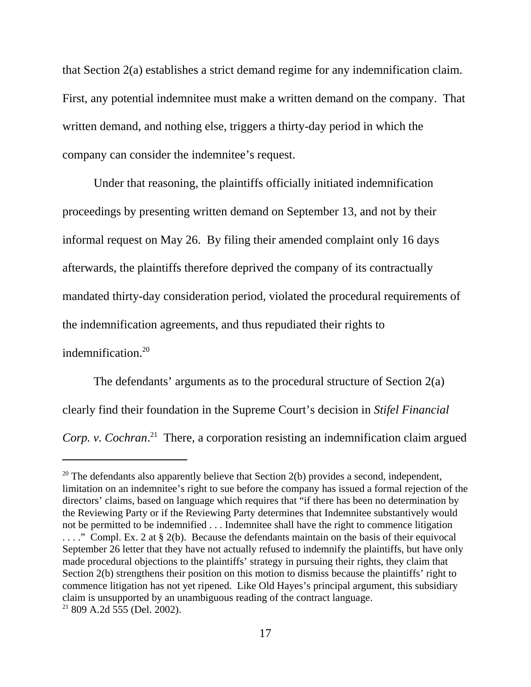that Section 2(a) establishes a strict demand regime for any indemnification claim. First, any potential indemnitee must make a written demand on the company. That written demand, and nothing else, triggers a thirty-day period in which the company can consider the indemnitee's request.

Under that reasoning, the plaintiffs officially initiated indemnification proceedings by presenting written demand on September 13, and not by their informal request on May 26. By filing their amended complaint only 16 days afterwards, the plaintiffs therefore deprived the company of its contractually mandated thirty-day consideration period, violated the procedural requirements of the indemnification agreements, and thus repudiated their rights to

indemnification.<sup>20</sup>

The defendants' arguments as to the procedural structure of Section 2(a) clearly find their foundation in the Supreme Court's decision in *Stifel Financial Corp. v. Cochran*. 21 There, a corporation resisting an indemnification claim argued

 $20$  The defendants also apparently believe that Section 2(b) provides a second, independent, limitation on an indemnitee's right to sue before the company has issued a formal rejection of the directors' claims, based on language which requires that "if there has been no determination by the Reviewing Party or if the Reviewing Party determines that Indemnitee substantively would not be permitted to be indemnified . . . Indemnitee shall have the right to commence litigation ...." Compl. Ex. 2 at § 2(b). Because the defendants maintain on the basis of their equivocal September 26 letter that they have not actually refused to indemnify the plaintiffs, but have only made procedural objections to the plaintiffs' strategy in pursuing their rights, they claim that Section 2(b) strengthens their position on this motion to dismiss because the plaintiffs' right to commence litigation has not yet ripened. Like Old Hayes's principal argument, this subsidiary claim is unsupported by an unambiguous reading of the contract language.  $21809$  A.2d  $555$  (Del. 2002).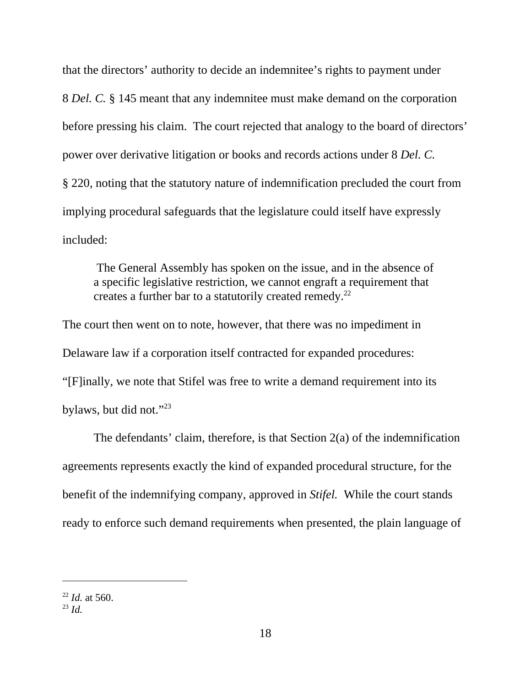that the directors' authority to decide an indemnitee's rights to payment under 8 *Del. C.* § 145 meant that any indemnitee must make demand on the corporation before pressing his claim. The court rejected that analogy to the board of directors' power over derivative litigation or books and records actions under 8 *Del. C.*  § 220, noting that the statutory nature of indemnification precluded the court from implying procedural safeguards that the legislature could itself have expressly included:

 The General Assembly has spoken on the issue, and in the absence of a specific legislative restriction, we cannot engraft a requirement that creates a further bar to a statutorily created remedy.<sup>22</sup>

The court then went on to note, however, that there was no impediment in Delaware law if a corporation itself contracted for expanded procedures: "[F]inally, we note that Stifel was free to write a demand requirement into its bylaws, but did not."<sup>23</sup>

The defendants' claim, therefore, is that Section 2(a) of the indemnification agreements represents exactly the kind of expanded procedural structure, for the benefit of the indemnifying company, approved in *Stifel.* While the court stands ready to enforce such demand requirements when presented, the plain language of

<sup>22</sup> *Id.* at 560.

<sup>23</sup> *Id.*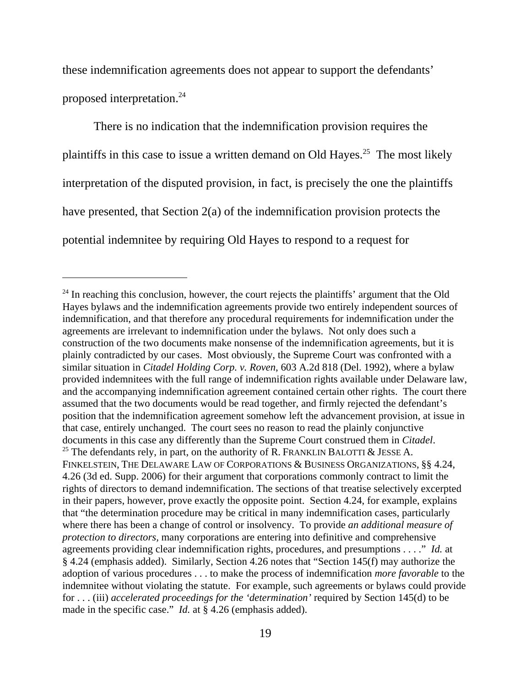these indemnification agreements does not appear to support the defendants' proposed interpretation.24

There is no indication that the indemnification provision requires the plaintiffs in this case to issue a written demand on Old Hayes.<sup>25</sup> The most likely interpretation of the disputed provision, in fact, is precisely the one the plaintiffs have presented, that Section 2(a) of the indemnification provision protects the potential indemnitee by requiring Old Hayes to respond to a request for

 $24$  In reaching this conclusion, however, the court rejects the plaintiffs' argument that the Old Hayes bylaws and the indemnification agreements provide two entirely independent sources of indemnification, and that therefore any procedural requirements for indemnification under the agreements are irrelevant to indemnification under the bylaws. Not only does such a construction of the two documents make nonsense of the indemnification agreements, but it is plainly contradicted by our cases. Most obviously, the Supreme Court was confronted with a similar situation in *Citadel Holding Corp. v. Roven*, 603 A.2d 818 (Del. 1992), where a bylaw provided indemnitees with the full range of indemnification rights available under Delaware law, and the accompanying indemnification agreement contained certain other rights. The court there assumed that the two documents would be read together, and firmly rejected the defendant's position that the indemnification agreement somehow left the advancement provision, at issue in that case, entirely unchanged. The court sees no reason to read the plainly conjunctive documents in this case any differently than the Supreme Court construed them in *Citadel*. 25 The defendants rely, in part, on the authority of R. FRANKLIN BALOTTI & JESSE A. FINKELSTEIN, THE DELAWARE LAW OF CORPORATIONS & BUSINESS ORGANIZATIONS, §§ 4.24, 4.26 (3d ed. Supp. 2006) for their argument that corporations commonly contract to limit the rights of directors to demand indemnification. The sections of that treatise selectively excerpted in their papers, however, prove exactly the opposite point. Section 4.24, for example, explains that "the determination procedure may be critical in many indemnification cases, particularly where there has been a change of control or insolvency. To provide *an additional measure of protection to directors,* many corporations are entering into definitive and comprehensive agreements providing clear indemnification rights, procedures, and presumptions . . . ." *Id.* at § 4.24 (emphasis added). Similarly, Section 4.26 notes that "Section 145(f) may authorize the adoption of various procedures . . . to make the process of indemnification *more favorable* to the indemnitee without violating the statute. For example, such agreements or bylaws could provide for . . . (iii) *accelerated proceedings for the 'determination'* required by Section 145(d) to be made in the specific case." *Id.* at § 4.26 (emphasis added).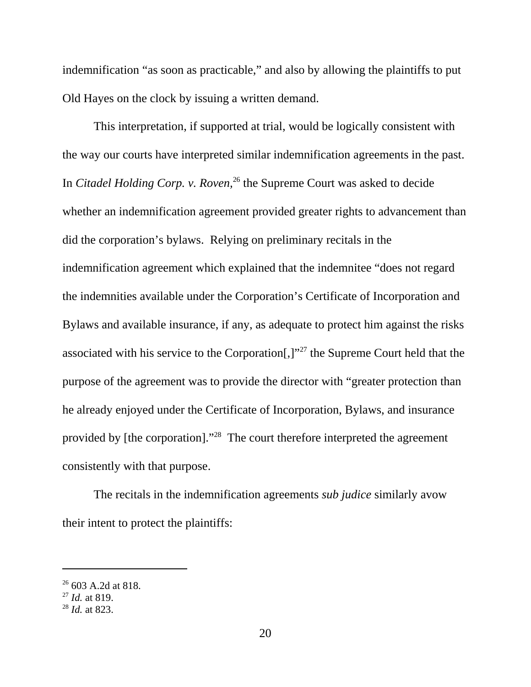indemnification "as soon as practicable," and also by allowing the plaintiffs to put Old Hayes on the clock by issuing a written demand.

This interpretation, if supported at trial, would be logically consistent with the way our courts have interpreted similar indemnification agreements in the past. In *Citadel Holding Corp. v. Roven*<sup>26</sup> the Supreme Court was asked to decide whether an indemnification agreement provided greater rights to advancement than did the corporation's bylaws. Relying on preliminary recitals in the indemnification agreement which explained that the indemnitee "does not regard the indemnities available under the Corporation's Certificate of Incorporation and Bylaws and available insurance, if any, as adequate to protect him against the risks associated with his service to the Corporation[,]"27 the Supreme Court held that the purpose of the agreement was to provide the director with "greater protection than he already enjoyed under the Certificate of Incorporation, Bylaws, and insurance provided by [the corporation]."28 The court therefore interpreted the agreement consistently with that purpose.

The recitals in the indemnification agreements *sub judice* similarly avow their intent to protect the plaintiffs:

<sup>&</sup>lt;sup>26</sup> 603 A.2d at 818.

<sup>27</sup> *Id.* at 819.

<sup>28</sup> *Id.* at 823.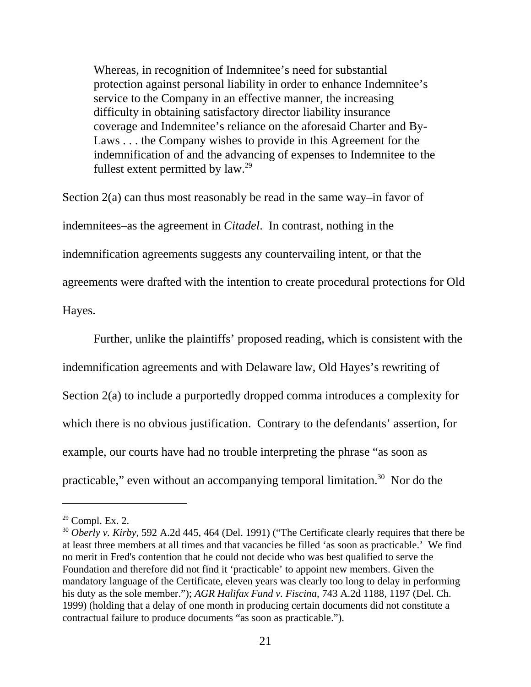Whereas, in recognition of Indemnitee's need for substantial protection against personal liability in order to enhance Indemnitee's service to the Company in an effective manner, the increasing difficulty in obtaining satisfactory director liability insurance coverage and Indemnitee's reliance on the aforesaid Charter and By-Laws . . . the Company wishes to provide in this Agreement for the indemnification of and the advancing of expenses to Indemnitee to the fullest extent permitted by  $law.^{29}$ 

Section 2(a) can thus most reasonably be read in the same way–in favor of indemnitees–as the agreement in *Citadel*. In contrast, nothing in the indemnification agreements suggests any countervailing intent, or that the agreements were drafted with the intention to create procedural protections for Old Hayes.

Further, unlike the plaintiffs' proposed reading, which is consistent with the indemnification agreements and with Delaware law, Old Hayes's rewriting of Section 2(a) to include a purportedly dropped comma introduces a complexity for which there is no obvious justification. Contrary to the defendants' assertion, for example, our courts have had no trouble interpreting the phrase "as soon as practicable," even without an accompanying temporal limitation.<sup>30</sup> Nor do the

 $29$  Compl. Ex. 2.

<sup>30</sup> *Oberly v. Kirby*, 592 A.2d 445, 464 (Del. 1991) ("The Certificate clearly requires that there be at least three members at all times and that vacancies be filled 'as soon as practicable.' We find no merit in Fred's contention that he could not decide who was best qualified to serve the Foundation and therefore did not find it 'practicable' to appoint new members. Given the mandatory language of the Certificate, eleven years was clearly too long to delay in performing his duty as the sole member."); *AGR Halifax Fund v. Fiscina,* 743 A.2d 1188, 1197 (Del. Ch. 1999) (holding that a delay of one month in producing certain documents did not constitute a contractual failure to produce documents "as soon as practicable.").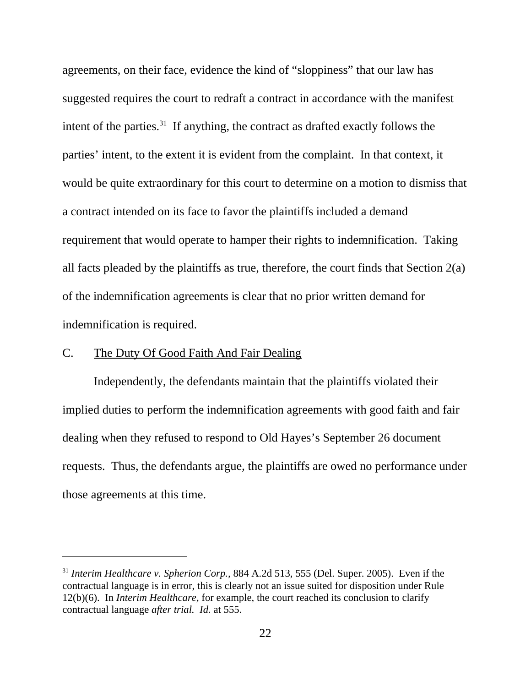agreements, on their face, evidence the kind of "sloppiness" that our law has suggested requires the court to redraft a contract in accordance with the manifest intent of the parties. $31$  If anything, the contract as drafted exactly follows the parties' intent, to the extent it is evident from the complaint. In that context, it would be quite extraordinary for this court to determine on a motion to dismiss that a contract intended on its face to favor the plaintiffs included a demand requirement that would operate to hamper their rights to indemnification. Taking all facts pleaded by the plaintiffs as true, therefore, the court finds that Section 2(a) of the indemnification agreements is clear that no prior written demand for indemnification is required.

### C. The Duty Of Good Faith And Fair Dealing

Independently, the defendants maintain that the plaintiffs violated their implied duties to perform the indemnification agreements with good faith and fair dealing when they refused to respond to Old Hayes's September 26 document requests. Thus, the defendants argue, the plaintiffs are owed no performance under those agreements at this time.

<sup>31</sup> *Interim Healthcare v. Spherion Corp.,* 884 A.2d 513, 555 (Del. Super. 2005). Even if the contractual language is in error, this is clearly not an issue suited for disposition under Rule 12(b)(6). In *Interim Healthcare,* for example, the court reached its conclusion to clarify contractual language *after trial. Id.* at 555.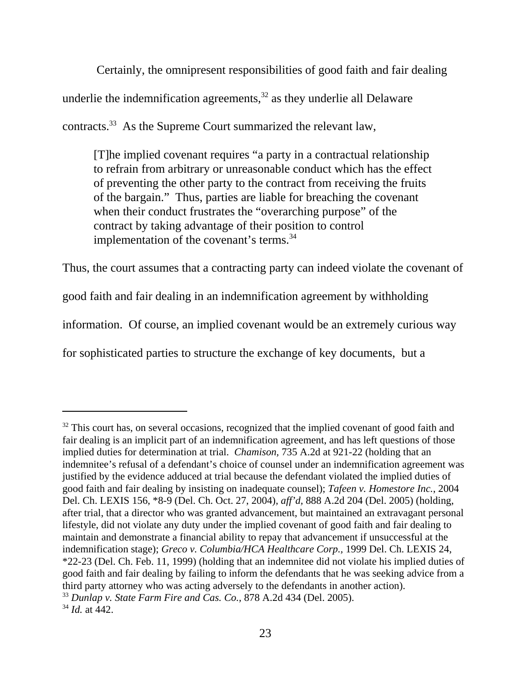Certainly, the omnipresent responsibilities of good faith and fair dealing underlie the indemnification agreements, $32$  as they underlie all Delaware contracts.33 As the Supreme Court summarized the relevant law,

[T]he implied covenant requires "a party in a contractual relationship to refrain from arbitrary or unreasonable conduct which has the effect of preventing the other party to the contract from receiving the fruits of the bargain." Thus, parties are liable for breaching the covenant when their conduct frustrates the "overarching purpose" of the contract by taking advantage of their position to control implementation of the covenant's terms.<sup>34</sup>

Thus, the court assumes that a contracting party can indeed violate the covenant of good faith and fair dealing in an indemnification agreement by withholding information. Of course, an implied covenant would be an extremely curious way for sophisticated parties to structure the exchange of key documents, but a

<sup>&</sup>lt;sup>32</sup> This court has, on several occasions, recognized that the implied covenant of good faith and fair dealing is an implicit part of an indemnification agreement, and has left questions of those implied duties for determination at trial. *Chamison,* 735 A.2d at 921-22 (holding that an indemnitee's refusal of a defendant's choice of counsel under an indemnification agreement was justified by the evidence adduced at trial because the defendant violated the implied duties of good faith and fair dealing by insisting on inadequate counsel); *Tafeen v. Homestore Inc.*, 2004 Del. Ch. LEXIS 156, \*8-9 (Del. Ch. Oct. 27, 2004), *aff'd,* 888 A.2d 204 (Del. 2005) (holding, after trial, that a director who was granted advancement, but maintained an extravagant personal lifestyle, did not violate any duty under the implied covenant of good faith and fair dealing to maintain and demonstrate a financial ability to repay that advancement if unsuccessful at the indemnification stage); *Greco v. Columbia/HCA Healthcare Corp.,* 1999 Del. Ch. LEXIS 24, \*22-23 (Del. Ch. Feb. 11, 1999) (holding that an indemnitee did not violate his implied duties of good faith and fair dealing by failing to inform the defendants that he was seeking advice from a third party attorney who was acting adversely to the defendants in another action). <sup>33</sup> *Dunlap v. State Farm Fire and Cas. Co.,* 878 A.2d 434 (Del. 2005). <sup>34</sup> *Id.* at 442.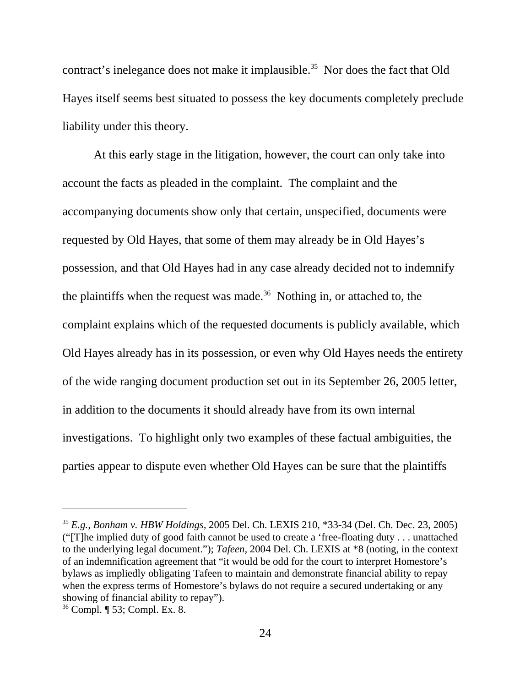contract's inelegance does not make it implausible.<sup>35</sup> Nor does the fact that Old Hayes itself seems best situated to possess the key documents completely preclude liability under this theory.

At this early stage in the litigation, however, the court can only take into account the facts as pleaded in the complaint. The complaint and the accompanying documents show only that certain, unspecified, documents were requested by Old Hayes, that some of them may already be in Old Hayes's possession, and that Old Hayes had in any case already decided not to indemnify the plaintiffs when the request was made.<sup>36</sup> Nothing in, or attached to, the complaint explains which of the requested documents is publicly available, which Old Hayes already has in its possession, or even why Old Hayes needs the entirety of the wide ranging document production set out in its September 26, 2005 letter, in addition to the documents it should already have from its own internal investigations. To highlight only two examples of these factual ambiguities, the parties appear to dispute even whether Old Hayes can be sure that the plaintiffs

<sup>35</sup> *E.g., Bonham v. HBW Holdings,* 2005 Del. Ch. LEXIS 210, \*33-34 (Del. Ch. Dec. 23, 2005) ("[T]he implied duty of good faith cannot be used to create a 'free-floating duty . . . unattached to the underlying legal document."); *Tafeen,* 2004 Del. Ch. LEXIS at \*8 (noting, in the context of an indemnification agreement that "it would be odd for the court to interpret Homestore's bylaws as impliedly obligating Tafeen to maintain and demonstrate financial ability to repay when the express terms of Homestore's bylaws do not require a secured undertaking or any showing of financial ability to repay").

<sup>36</sup> Compl. ¶ 53; Compl. Ex. 8.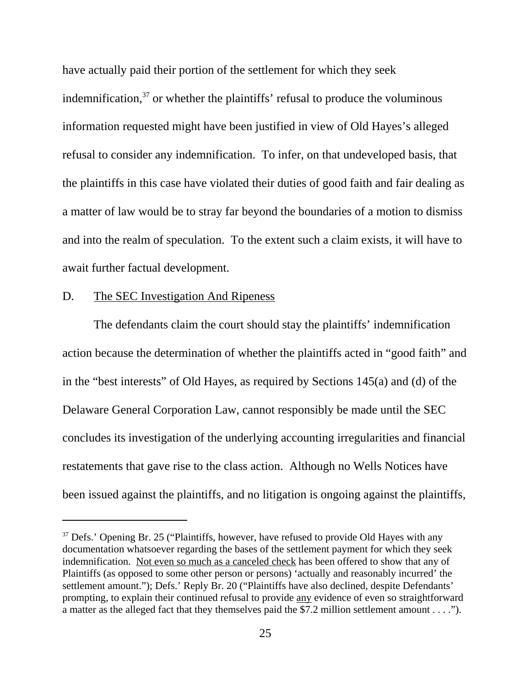have actually paid their portion of the settlement for which they seek indemnification, $37$  or whether the plaintiffs' refusal to produce the voluminous information requested might have been justified in view of Old Hayes's alleged refusal to consider any indemnification. To infer, on that undeveloped basis, that the plaintiffs in this case have violated their duties of good faith and fair dealing as a matter of law would be to stray far beyond the boundaries of a motion to dismiss and into the realm of speculation. To the extent such a claim exists, it will have to await further factual development.

### D. The SEC Investigation And Ripeness

The defendants claim the court should stay the plaintiffs' indemnification action because the determination of whether the plaintiffs acted in "good faith" and in the "best interests" of Old Hayes, as required by Sections 145(a) and (d) of the Delaware General Corporation Law, cannot responsibly be made until the SEC concludes its investigation of the underlying accounting irregularities and financial restatements that gave rise to the class action. Although no Wells Notices have been issued against the plaintiffs, and no litigation is ongoing against the plaintiffs,

 $37$  Defs.' Opening Br. 25 ("Plaintiffs, however, have refused to provide Old Hayes with any documentation whatsoever regarding the bases of the settlement payment for which they seek indemnification. Not even so much as a canceled check has been offered to show that any of Plaintiffs (as opposed to some other person or persons) 'actually and reasonably incurred' the settlement amount."); Defs.' Reply Br. 20 ("Plaintiffs have also declined, despite Defendants' prompting, to explain their continued refusal to provide any evidence of even so straightforward a matter as the alleged fact that they themselves paid the \$7.2 million settlement amount . . . .").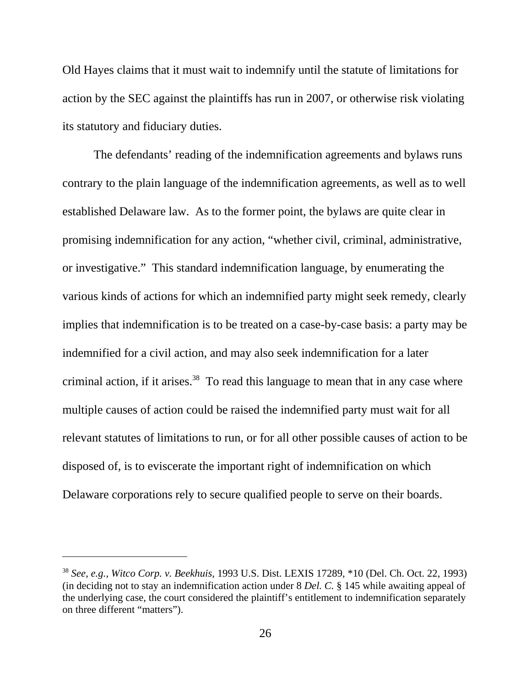Old Hayes claims that it must wait to indemnify until the statute of limitations for action by the SEC against the plaintiffs has run in 2007, or otherwise risk violating its statutory and fiduciary duties.

The defendants' reading of the indemnification agreements and bylaws runs contrary to the plain language of the indemnification agreements, as well as to well established Delaware law. As to the former point, the bylaws are quite clear in promising indemnification for any action, "whether civil, criminal, administrative, or investigative." This standard indemnification language, by enumerating the various kinds of actions for which an indemnified party might seek remedy, clearly implies that indemnification is to be treated on a case-by-case basis: a party may be indemnified for a civil action, and may also seek indemnification for a later criminal action, if it arises.<sup>38</sup> To read this language to mean that in any case where multiple causes of action could be raised the indemnified party must wait for all relevant statutes of limitations to run, or for all other possible causes of action to be disposed of, is to eviscerate the important right of indemnification on which Delaware corporations rely to secure qualified people to serve on their boards.

<sup>38</sup> *See, e.g., Witco Corp. v. Beekhuis,* 1993 U.S. Dist. LEXIS 17289, \*10 (Del. Ch. Oct. 22, 1993) (in deciding not to stay an indemnification action under 8 *Del. C.* § 145 while awaiting appeal of the underlying case, the court considered the plaintiff's entitlement to indemnification separately on three different "matters").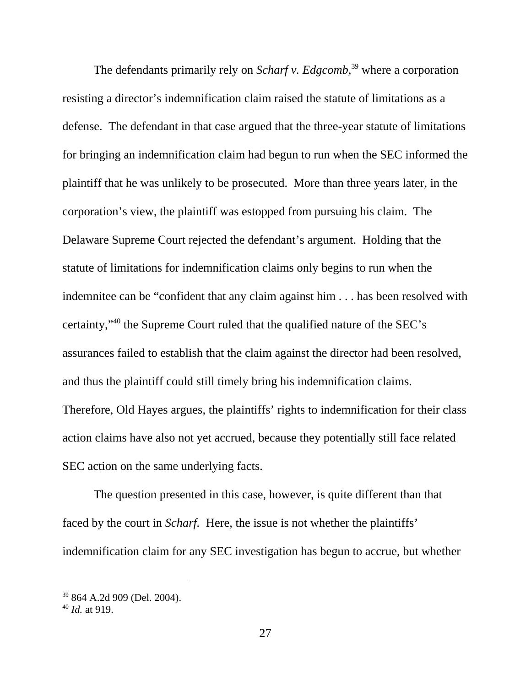The defendants primarily rely on *Scharf v. Edgcomb,*<sup>39</sup> where a corporation resisting a director's indemnification claim raised the statute of limitations as a defense. The defendant in that case argued that the three-year statute of limitations for bringing an indemnification claim had begun to run when the SEC informed the plaintiff that he was unlikely to be prosecuted. More than three years later, in the corporation's view, the plaintiff was estopped from pursuing his claim. The Delaware Supreme Court rejected the defendant's argument. Holding that the statute of limitations for indemnification claims only begins to run when the indemnitee can be "confident that any claim against him . . . has been resolved with certainty,"40 the Supreme Court ruled that the qualified nature of the SEC's assurances failed to establish that the claim against the director had been resolved, and thus the plaintiff could still timely bring his indemnification claims. Therefore, Old Hayes argues, the plaintiffs' rights to indemnification for their class action claims have also not yet accrued, because they potentially still face related SEC action on the same underlying facts.

The question presented in this case, however, is quite different than that faced by the court in *Scharf*. Here, the issue is not whether the plaintiffs' indemnification claim for any SEC investigation has begun to accrue, but whether

<sup>39 864</sup> A.2d 909 (Del. 2004).

<sup>40</sup> *Id.* at 919.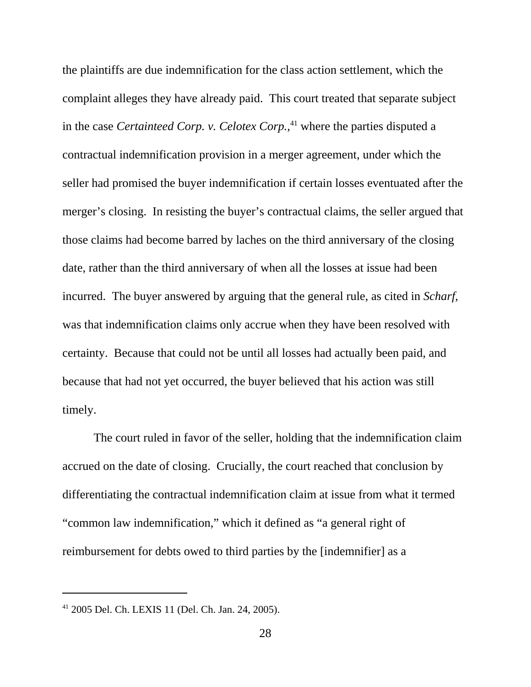the plaintiffs are due indemnification for the class action settlement, which the complaint alleges they have already paid. This court treated that separate subject in the case *Certainteed Corp. v. Celotex Corp.*<sup>41</sup> where the parties disputed a contractual indemnification provision in a merger agreement, under which the seller had promised the buyer indemnification if certain losses eventuated after the merger's closing. In resisting the buyer's contractual claims, the seller argued that those claims had become barred by laches on the third anniversary of the closing date, rather than the third anniversary of when all the losses at issue had been incurred. The buyer answered by arguing that the general rule, as cited in *Scharf,* was that indemnification claims only accrue when they have been resolved with certainty. Because that could not be until all losses had actually been paid, and because that had not yet occurred, the buyer believed that his action was still timely.

The court ruled in favor of the seller, holding that the indemnification claim accrued on the date of closing. Crucially, the court reached that conclusion by differentiating the contractual indemnification claim at issue from what it termed "common law indemnification," which it defined as "a general right of reimbursement for debts owed to third parties by the [indemnifier] as a

<sup>41 2005</sup> Del. Ch. LEXIS 11 (Del. Ch. Jan. 24, 2005).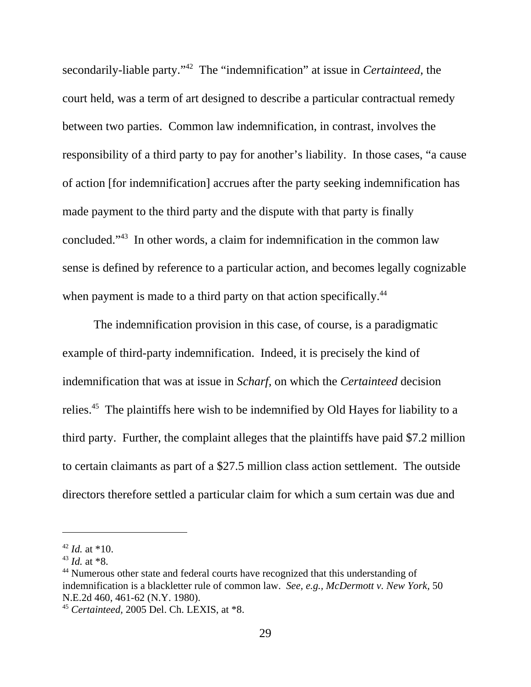secondarily-liable party."42 The "indemnification" at issue in *Certainteed,* the court held, was a term of art designed to describe a particular contractual remedy between two parties. Common law indemnification, in contrast, involves the responsibility of a third party to pay for another's liability. In those cases, "a cause of action [for indemnification] accrues after the party seeking indemnification has made payment to the third party and the dispute with that party is finally concluded."43 In other words, a claim for indemnification in the common law sense is defined by reference to a particular action, and becomes legally cognizable when payment is made to a third party on that action specifically.<sup>44</sup>

The indemnification provision in this case, of course, is a paradigmatic example of third-party indemnification. Indeed, it is precisely the kind of indemnification that was at issue in *Scharf,* on which the *Certainteed* decision relies.<sup>45</sup> The plaintiffs here wish to be indemnified by Old Hayes for liability to a third party. Further, the complaint alleges that the plaintiffs have paid \$7.2 million to certain claimants as part of a \$27.5 million class action settlement. The outside directors therefore settled a particular claim for which a sum certain was due and

<sup>42</sup> *Id.* at \*10.

<sup>43</sup> *Id.* at \*8.

<sup>44</sup> Numerous other state and federal courts have recognized that this understanding of indemnification is a blackletter rule of common law. *See, e.g., McDermott v. New York,* 50 N.E.2d 460, 461-62 (N.Y. 1980).

<sup>45</sup> *Certainteed,* 2005 Del. Ch. LEXIS, at \*8.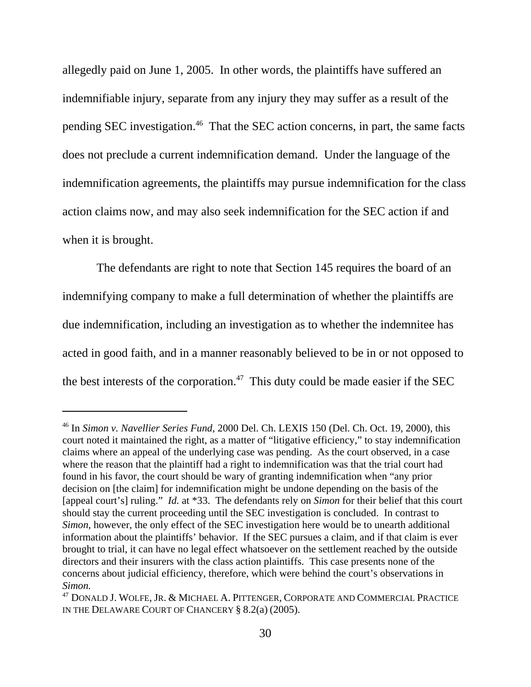allegedly paid on June 1, 2005. In other words, the plaintiffs have suffered an indemnifiable injury, separate from any injury they may suffer as a result of the pending SEC investigation.<sup>46</sup> That the SEC action concerns, in part, the same facts does not preclude a current indemnification demand. Under the language of the indemnification agreements, the plaintiffs may pursue indemnification for the class action claims now, and may also seek indemnification for the SEC action if and when it is brought.

 The defendants are right to note that Section 145 requires the board of an indemnifying company to make a full determination of whether the plaintiffs are due indemnification, including an investigation as to whether the indemnitee has acted in good faith, and in a manner reasonably believed to be in or not opposed to the best interests of the corporation.<sup>47</sup> This duty could be made easier if the SEC

<sup>46</sup> In *Simon v. Navellier Series Fund,* 2000 Del. Ch. LEXIS 150 (Del. Ch. Oct. 19, 2000), this court noted it maintained the right, as a matter of "litigative efficiency," to stay indemnification claims where an appeal of the underlying case was pending. As the court observed, in a case where the reason that the plaintiff had a right to indemnification was that the trial court had found in his favor, the court should be wary of granting indemnification when "any prior decision on [the claim] for indemnification might be undone depending on the basis of the [appeal court's] ruling." *Id.* at \*33. The defendants rely on *Simon* for their belief that this court should stay the current proceeding until the SEC investigation is concluded. In contrast to *Simon,* however, the only effect of the SEC investigation here would be to unearth additional information about the plaintiffs' behavior. If the SEC pursues a claim, and if that claim is ever brought to trial, it can have no legal effect whatsoever on the settlement reached by the outside directors and their insurers with the class action plaintiffs. This case presents none of the concerns about judicial efficiency, therefore, which were behind the court's observations in *Simon.* 

<sup>&</sup>lt;sup>47</sup> DONALD J. WOLFE, JR. & MICHAEL A. PITTENGER, CORPORATE AND COMMERCIAL PRACTICE IN THE DELAWARE COURT OF CHANCERY § 8.2(a) (2005).